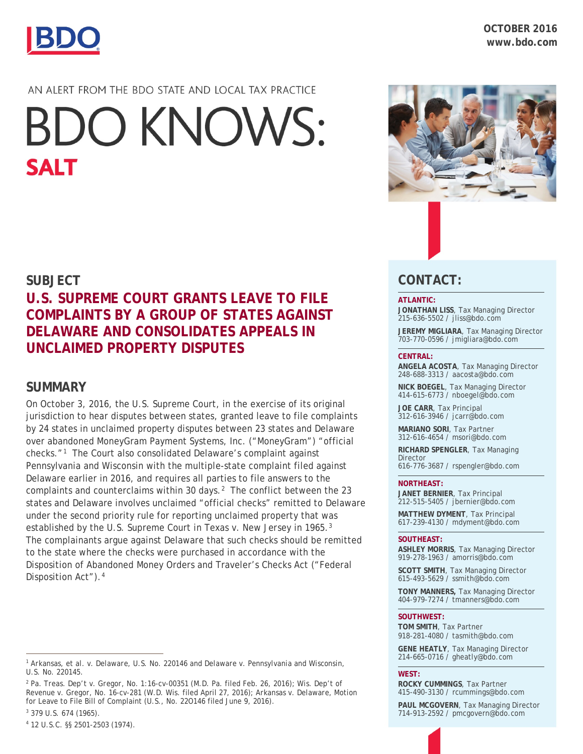

# AN ALERT FROM THE BDO STATE AND LOCAL TAX PRACTICE

# **BDO KNOWS: SALT**

# **SUBJECT**

# **U.S. SUPREME COURT GRANTS LEAVE TO FILE COMPLAINTS BY A GROUP OF STATES AGAINST DELAWARE AND CONSOLIDATES APPEALS IN UNCLAIMED PROPERTY DISPUTES**

## **SUMMARY**

On October 3, 2016, the U.S. Supreme Court, in the exercise of its original jurisdiction to hear disputes between states, granted leave to file complaints by 24 states in unclaimed property disputes between 23 states and Delaware over abandoned MoneyGram Payment Systems, Inc. ("MoneyGram") "official checks."<sup>[1](#page-0-0)</sup> The Court also consolidated Delaware's complaint against Pennsylvania and Wisconsin with the multiple-state complaint filed against Delaware earlier in 2016, and requires all parties to file answers to the complaints and counterclaims within 30 days. $<sup>2</sup>$  $<sup>2</sup>$  $<sup>2</sup>$  The conflict between the 23</sup> states and Delaware involves unclaimed "official checks" remitted to Delaware under the second priority rule for reporting unclaimed property that was established by the U.S. Supreme Court in *Texas v. New Jersey* in 1965[.3](#page-0-2) The complainants argue against Delaware that such checks should be remitted to the state where the checks were purchased in accordance with the Disposition of Abandoned Money Orders and Traveler's Checks Act ("Federal Disposition Act").<sup>[4](#page-0-3)</sup>

<span id="page-0-2"></span><sup>3</sup> 379 U.S. 674 (1965).

 $\overline{a}$ 

<span id="page-0-3"></span><sup>4</sup> 12 U.S.C. §§ 2501-2503 (1974).



# **CONTACT:**

#### **ATLANTIC:**

**JONATHAN LISS**, Tax Managing Director 215-636-5502 / [jliss@bdo.com](mailto:jliss@bdo.com)

**JEREMY MIGLIARA**, Tax Managing Director 703-770-0596 / jmigliara@bdo.com

#### **CENTRAL:**

**ANGELA ACOSTA**, Tax Managing Director 248-688-3313 / [aacosta@bdo.com](mailto:aacosta@bdo.com)

**NICK BOEGEL**, Tax Managing Director 414-615-6773 / nboegel@bdo.com

**JOE CARR**, Tax Principal 312-616-3946 / [jcarr@bdo.com](mailto:jcarr@bdo.com)

**MARIANO SORI**, Tax Partner 312-616-4654 / [msori@bdo.com](mailto:msori@bdo.com)

**RICHARD SPENGLER**, Tax Managing Director

616-776-3687 / [rspengler@bdo.com](mailto:rspengler@bdo.com)

#### **NORTHEAST:**

**JANET BERNIER**, Tax Principal 212-515-5405 / [jbernier@bdo.com](mailto:jbernier@bdo.com)

**MATTHEW DYMENT**, Tax Principal 617-239-4130 / [mdyment@bdo.com](mailto:mdyment@bdo.com)

#### **SOUTHEAST:**

**ASHLEY MORRIS**, Tax Managing Director 919-278-1963 / [amorris@bdo.com](mailto:msiegel@bdo.com)

**SCOTT SMITH**, Tax Managing Director 615-493-5629 / ssmith@bdo.com

**TONY MANNERS,** Tax Managing Director 404-979-7274 / tmanners@bdo.com

#### **SOUTHWEST:**

**TOM SMITH**, Tax Partner 918-281-4080 / [tasmith@bdo.com](mailto:tasmith@bdo.com)

**GENE HEATLY**, Tax Managing Director 214-665-0716 / [gheatly@bdo.com](mailto:gheatly@bdo.com%0b)

**WEST:**

**ROCKY CUMMINGS**, Tax Partner 415-490-3130 / [rcummings@bdo.com](mailto:rcummings@bdo.com)

**PAUL MCGOVERN**, Tax Managing Director 714-913-2592 / [pmcgovern@bdo.com](mailto:pmcgovern@bdo.com)

<span id="page-0-0"></span><sup>1</sup> *Arkansas, et al. v. Delaware,* U.S. No. 220146 and *Delaware v. Pennsylvania and Wisconsin,*  U.S. No. 220145.

<span id="page-0-1"></span><sup>2</sup> *Pa. Treas. Dep't v. Gregor*, No. 1:16-cv-00351 (M.D. Pa. filed Feb. 26, 2016); *Wis. Dep't of Revenue v. Gregor*, No. 16-cv-281 (W.D. Wis. filed April 27, 2016); *Arkansas v. Delaware*, Motion for Leave to File Bill of Complaint (U.S., No. 22O146 filed June 9, 2016).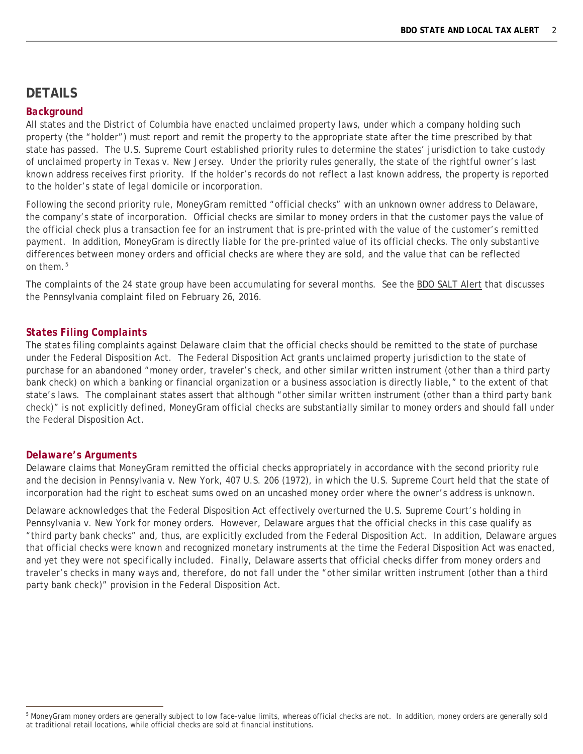## **DETAILS**

#### *Background*

All states and the District of Columbia have enacted unclaimed property laws, under which a company holding such property (the "holder") must report and remit the property to the appropriate state after the time prescribed by that state has passed. The U.S. Supreme Court established priority rules to determine the states' jurisdiction to take custody of unclaimed property in *Texas v. New Jersey*. Under the priority rules generally, the state of the rightful owner's last known address receives first priority. If the holder's records do not reflect a last known address, the property is reported to the holder's state of legal domicile or incorporation.

Following the second priority rule, MoneyGram remitted "official checks" with an unknown owner address to Delaware, the company's state of incorporation. Official checks are similar to money orders in that the customer pays the value of the official check plus a transaction fee for an instrument that is pre-printed with the value of the customer's remitted payment. In addition, MoneyGram is directly liable for the pre-printed value of its official checks. The only substantive differences between money orders and official checks are where they are sold, and the value that can be reflected on them.[5](#page-1-0)

The complaints of the 24 state group have been accumulating for several months. See the [BDO SALT Alert](https://www.bdo.com/insights/tax/unclaimed-property/unclaimed-property-alert-march-2016) that discusses the Pennsylvania complaint filed on February 26, 2016.

#### *States Filing Complaints*

The states filing complaints against Delaware claim that the official checks should be remitted to the state of purchase under the Federal Disposition Act. The Federal Disposition Act grants unclaimed property jurisdiction to the state of purchase for an abandoned "money order, traveler's check, and other similar written instrument (other than a third party bank check) on which a banking or financial organization or a business association is directly liable," to the extent of that state's laws. The complainant states assert that although "other similar written instrument (other than a third party bank check)" is not explicitly defined, MoneyGram official checks are substantially similar to money orders and should fall under the Federal Disposition Act.

#### *Delaware's Arguments*

Delaware claims that MoneyGram remitted the official checks appropriately in accordance with the second priority rule and the decision in *Pennsylvania v. New York*, 407 U.S. 206 (1972), in which the U.S. Supreme Court held that the state of incorporation had the right to escheat sums owed on an uncashed money order where the owner's address is unknown.

Delaware acknowledges that the Federal Disposition Act effectively overturned the U.S. Supreme Court's holding in *Pennsylvania v. New York* for money orders. However, Delaware argues that the official checks in this case qualify as "third party bank checks" and, thus, are explicitly excluded from the Federal Disposition Act. In addition, Delaware argues that official checks were known and recognized monetary instruments at the time the Federal Disposition Act was enacted, and yet they were not specifically included. Finally, Delaware asserts that official checks differ from money orders and traveler's checks in many ways and, therefore, do not fall under the "other similar written instrument (other than a third party bank check)" provision in the Federal Disposition Act.

<span id="page-1-0"></span> $\overline{a}$ <sup>5</sup> MoneyGram money orders are generally subject to low face-value limits, whereas official checks are not. In addition, money orders are generally sold at traditional retail locations, while official checks are sold at financial institutions.